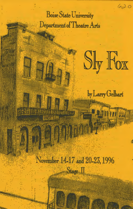# **Boise State University** Department of Theatre Arts

Sly Fox

 $620$ 

by Larry Gelbart

November 14-17 and 20-23, 1996  $Stage II$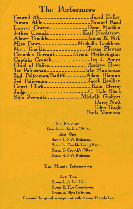## The Performers

| Foxwell SlyJared Dalley<br>Simon AbleSamuel Read |                    |
|--------------------------------------------------|--------------------|
| Lawyer CravenDano Madden                         |                    |
|                                                  |                    |
| Abner TruckleJames B. Fisk                       |                    |
| Miss FancyMichelle Lockhart                      |                    |
| Mrs. TruckleTeresa Flowers                       |                    |
| Crouch's ServantGrant Hetherington               |                    |
| Captain CrouchIra J. Amyx                        |                    |
| Chief of Police Andrew Howe                      |                    |
| 1st PolicemanJake Huntsman                       |                    |
| 2nd Policeman/BailiffAdam Blanton                |                    |
| 3rd PolicemanJacob Brollier                      |                    |
|                                                  |                    |
|                                                  |                    |
|                                                  |                    |
|                                                  | Darcy Nutt         |
|                                                  | <b>Eden Teagle</b> |
|                                                  | Paula Youmans      |
|                                                  |                    |

San Francisco One day in the late 1800's Act One Scene 1. Sly's Bedroom. Scene 2. Truckle Living Room. Scene 3. Crouch's Office Scene 4. Sly's Bedroom

Ten Minute Intermission

Act Two Scene 1. A Jail Cell. **Scene 2. The Courtroom.** Scene 3. Sly's Bedroom. Presented by special arrangement with Samuel French, Inc.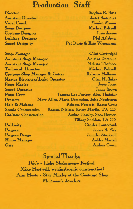### **Production Staff**

Assistant Director Vocal Coach Scene Designer Costume Designer Lighting Designer Sound Design by

Director Stephen R Buss Janet Summers Monica Mason Micheal Baltzell Josie Jensen Phil Atlakson Pat Durie & Eric Wiesemann

Clint Cartwright

Stage Manager Assistant Stage Manager Assistant Stage Manager Technical Director Costume Shop Manager & Cutter Master Electrician \Light Operator Sound Operator Props Crew **D**ressers Hair & Makeup Scenic Construction Costume Construction

Publicity Program ProgramDesign House Manager Grip

Aniolka Doremus Melissa Thatcher Micheal Baltzell Rebecca Hoffman Glen HuHaker Props Master Jesse Jones Jenny Brown Tamera Lee Portrey, Alex Thatcher Mary Allen, Maria Demetriou, Julie Nordstrom Rebecca Prescott, Karen Craig Karena Nielsen, Kristy Martin, TA 117 Amber Hartley, Sara Bruner, TiHany Sheldon, TA 117 Charles Lauterbach James B. Fisk Jennifer Stockwell Ashley Martell Andrea Green

#### Special Thanks

Poio's - Idaho Shakespeare Festival Mike Hartwell, welding(scenic construction) Ann Hoste - Star Moxley at the Costume Shop Molengar's Jewelers